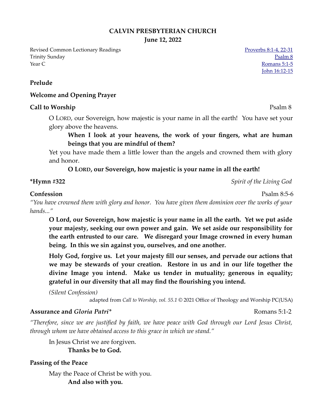### **CALVIN PRESBYTERIAN CHURCH**

**June 12, 2022**

Revised Common Lectionary Readings<br> [Proverbs 8:1-4, 22-31](https://www.biblegateway.com/passage/?search=Proverbs+8%3A1-4%2C+22-31&version=NRSVUE) **Trinity Sunday [Psalm 8](https://www.biblegateway.com/passage/?search=Psalm+8&version=NRSVUE)** Psalm 8 **The Second Second Second Second Second Second Second Second Second Second Second Second Second Second Second Second Second Second Second Second Second Second Second Second Second Second Second Second Second Second Second** 

[John 16:12-15](https://www.biblegateway.com/passage/?search=John+16%3A12-15&version=NRSVUE)

### **Prelude**

#### **Welcome and Opening Prayer**

#### **Call to Worship** Psalm 8

O LORD, our Sovereign, how majestic is your name in all the earth! You have set your glory above the heavens.

## **When I look at your heavens, the work of your fingers, what are human beings that you are mindful of them?**

Yet you have made them a little lower than the angels and crowned them with glory and honor.

### **O LORD, our Sovereign, how majestic is your name in all the earth!**

**\*Hymn #322** *Spirit of the Living God* 

#### **Confession** Psalm 8:5-6

*"You have crowned them with glory and honor. You have given them dominion over the works of your hands..."*

**O Lord, our Sovereign, how majestic is your name in all the earth. Yet we put aside your majesty, seeking our own power and gain. We set aside our responsibility for the earth entrusted to our care. We disregard your Image crowned in every human being. In this we sin against you, ourselves, and one another.**

**Holy God, forgive us. Let your majesty fill our senses, and pervade our actions that we may be stewards of your creation. Restore in us and in our life together the divine Image you intend. Make us tender in mutuality; generous in equality; grateful in our diversity that all may find the flourishing you intend.** 

*(Silent Confession)*

adapted from *Call to Worship, vol. 55.1* © 2021 Office of Theology and Worship PC(USA)

#### **Assurance and** *Gloria Patri\** Romans 5:1-2

*"Therefore, since we are justified by faith, we have peace with God through our Lord Jesus Christ, through whom we have obtained access to this grace in which we stand."* 

In Jesus Christ we are forgiven.

**Thanks be to God.**

#### **Passing of the Peace**

May the Peace of Christ be with you. **And also with you.**